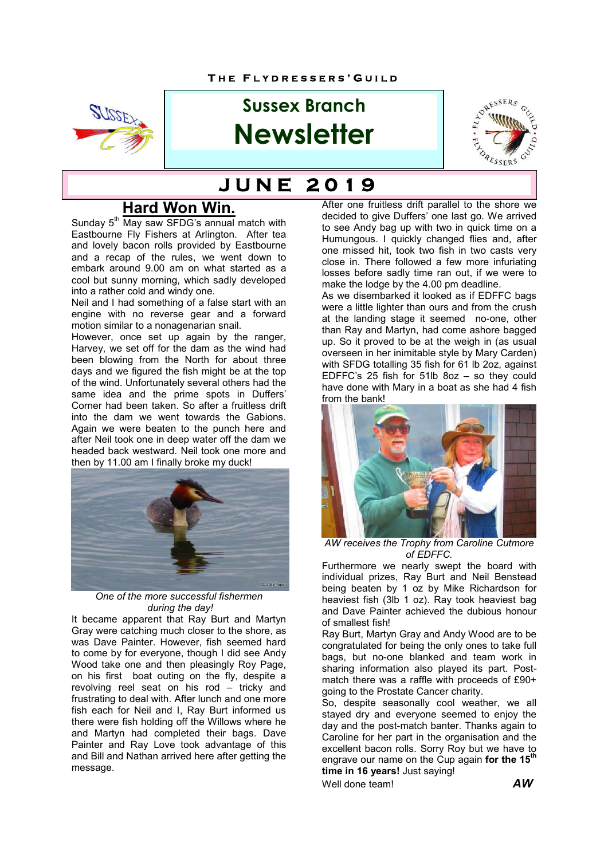

# **Sussex Branch Newsletter**



# **J U N E 2 0 1 9**

# **Hard Won Win.**

Sunday 5<sup>th</sup> May saw SFDG's annual match with Eastbourne Fly Fishers at Arlington. After tea and lovely bacon rolls provided by Eastbourne and a recap of the rules, we went down to embark around 9.00 am on what started as a cool but sunny morning, which sadly developed into a rather cold and windy one.

Neil and I had something of a false start with an engine with no reverse gear and a forward motion similar to a nonagenarian snail.

However, once set up again by the ranger, Harvey, we set off for the dam as the wind had been blowing from the North for about three days and we figured the fish might be at the top of the wind. Unfortunately several others had the same idea and the prime spots in Duffers' Corner had been taken. So after a fruitless drift into the dam we went towards the Gabions. Again we were beaten to the punch here and after Neil took one in deep water off the dam we headed back westward. Neil took one more and then by 11.00 am I finally broke my duck!



*One of the more successful fishermen during the day!*

It became apparent that Ray Burt and Martyn Gray were catching much closer to the shore, as was Dave Painter. However, fish seemed hard to come by for everyone, though I did see Andy Wood take one and then pleasingly Roy Page, on his first boat outing on the fly, despite a revolving reel seat on his rod – tricky and frustrating to deal with. After lunch and one more fish each for Neil and I, Ray Burt informed us there were fish holding off the Willows where he and Martyn had completed their bags. Dave Painter and Ray Love took advantage of this and Bill and Nathan arrived here after getting the message.

After one fruitless drift parallel to the shore we decided to give Duffers' one last go. We arrived to see Andy bag up with two in quick time on a Humungous. I quickly changed flies and, after one missed hit, took two fish in two casts very close in. There followed a few more infuriating losses before sadly time ran out, if we were to make the lodge by the 4.00 pm deadline.

As we disembarked it looked as if EDFFC bags were a little lighter than ours and from the crush at the landing stage it seemed no-one, other than Ray and Martyn, had come ashore bagged up. So it proved to be at the weigh in (as usual overseen in her inimitable style by Mary Carden) with SFDG totalling 35 fish for 61 lb 2oz, against EDFFC's 25 fish for 51lb 8oz – so they could have done with Mary in a boat as she had 4 fish from the bank!



*AW receives the Trophy from Caroline Cutmore of EDFFC.*

Furthermore we nearly swept the board with individual prizes, Ray Burt and Neil Benstead being beaten by 1 oz by Mike Richardson for heaviest fish (3lb 1 oz). Ray took heaviest bag and Dave Painter achieved the dubious honour of smallest fish!

Ray Burt, Martyn Gray and Andy Wood are to be congratulated for being the only ones to take full bags, but no-one blanked and team work in sharing information also played its part. Postmatch there was a raffle with proceeds of £90+ going to the Prostate Cancer charity.

So, despite seasonally cool weather, we all stayed dry and everyone seemed to enjoy the day and the post-match banter. Thanks again to Caroline for her part in the organisation and the excellent bacon rolls. Sorry Roy but we have to engrave our name on the Cup again **for the 15th time in 16 years!** Just saying!

Well done team! *AW*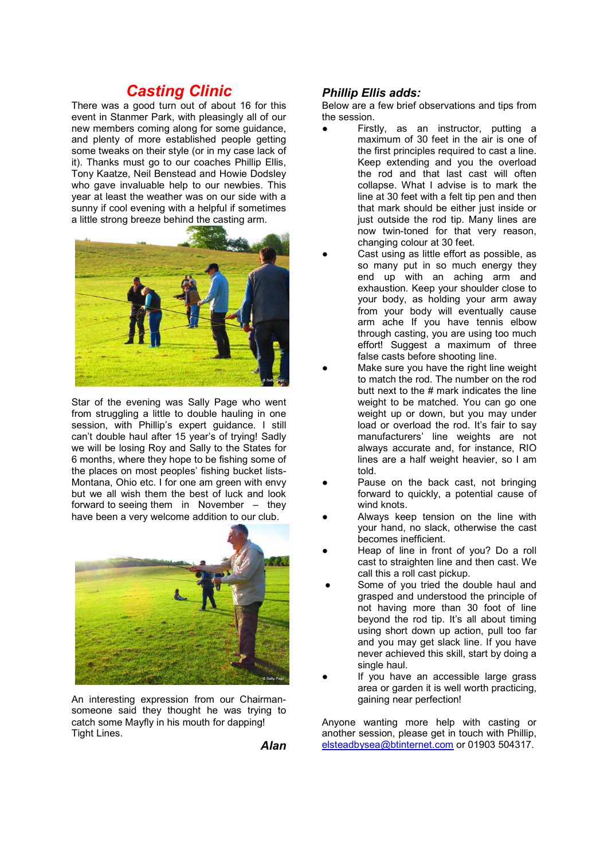# *Casting Clinic*

There was a good turn out of about 16 for this event in Stanmer Park, with pleasingly all of our new members coming along for some guidance, and plenty of more established people getting some tweaks on their style (or in my case lack of it). Thanks must go to our coaches Phillip Ellis, Tony Kaatze, Neil Benstead and Howie Dodsley who gave invaluable help to our newbies. This year at least the weather was on our side with a sunny if cool evening with a helpful if sometimes a little strong breeze behind the casting arm.



Star of the evening was Sally Page who went from struggling a little to double hauling in one session, with Phillip's expert guidance. I still can't double haul after 15 year's of trying! Sadly we will be losing Roy and Sally to the States for 6 months, where they hope to be fishing some of the places on most peoples' fishing bucket lists-Montana, Ohio etc. I for one am green with envy but we all wish them the best of luck and look forward to seeing them in November – they have been a very welcome addition to our club.



An interesting expression from our Chairmansomeone said they thought he was trying to catch some Mayfly in his mouth for dapping! Tight Lines.

*Alan*

#### *Phillip Ellis adds:*

Below are a few brief observations and tips from the session.

- Firstly, as an instructor, putting a maximum of 30 feet in the air is one of the first principles required to cast a line. Keep extending and you the overload the rod and that last cast will often collapse. What I advise is to mark the line at 30 feet with a felt tip pen and then that mark should be either just inside or just outside the rod tip. Many lines are now twin-toned for that very reason, changing colour at 30 feet.
- Cast using as little effort as possible, as so many put in so much energy they end up with an aching arm and exhaustion. Keep your shoulder close to your body, as holding your arm away from your body will eventually cause arm ache If you have tennis elbow through casting, you are using too much effort! Suggest a maximum of three false casts before shooting line.
- Make sure you have the right line weight to match the rod. The number on the rod butt next to the # mark indicates the line weight to be matched. You can go one weight up or down, but you may under load or overload the rod. It's fair to say manufacturers' line weights are not always accurate and, for instance, RIO lines are a half weight heavier, so I am told.
- Pause on the back cast, not bringing forward to quickly, a potential cause of wind knots.
- Always keep tension on the line with your hand, no slack, otherwise the cast becomes inefficient.
- Heap of line in front of you? Do a roll cast to straighten line and then cast. We call this a roll cast pickup.
- Some of you tried the double haul and grasped and understood the principle of not having more than 30 foot of line beyond the rod tip. It's all about timing using short down up action, pull too far and you may get slack line. If you have never achieved this skill, start by doing a single haul.
- If you have an accessible large grass area or garden it is well worth practicing, gaining near perfection!

Anyone wanting more help with casting or another session, please get in touch with Phillip, elsteadbysea@btinternet.com or 01903 504317.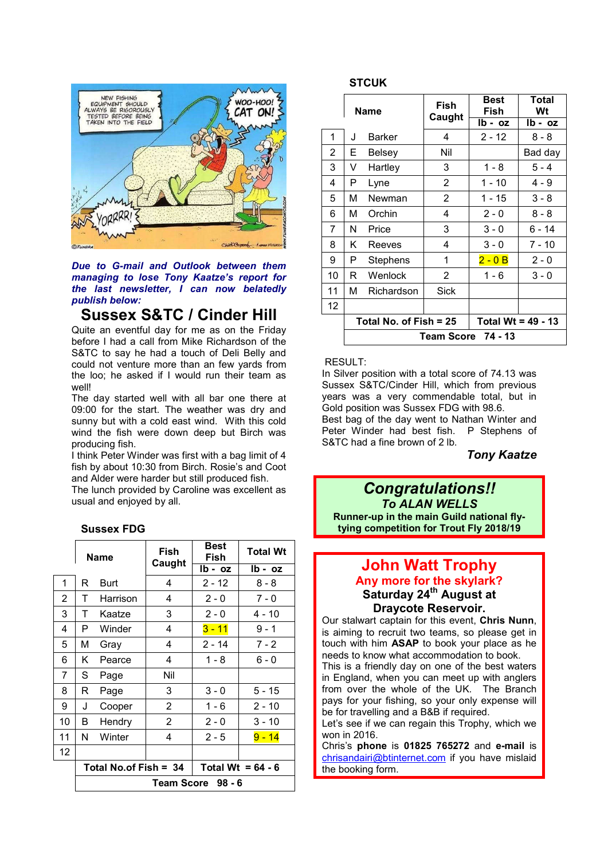

*Due to G-mail and Outlook between them managing to lose Tony Kaatze's report for the last newsletter, I can now belatedly publish below:* 

# **Sussex S&TC / Cinder Hill**

Quite an eventful day for me as on the Friday before I had a call from Mike Richardson of the S&TC to say he had a touch of Deli Belly and could not venture more than an few yards from the loo; he asked if I would run their team as well!

The day started well with all bar one there at 09:00 for the start. The weather was dry and sunny but with a cold east wind. With this cold wind the fish were down deep but Birch was producing fish.

I think Peter Winder was first with a bag limit of 4 fish by about 10:30 from Birch. Rosie's and Coot and Alder were harder but still produced fish.

The lunch provided by Caroline was excellent as usual and enjoyed by all.

### **Sussex FDG**

|                 | Name              |                         | Fish<br>Caught | <b>Best</b><br>Fish | <b>Total Wt</b> |  |
|-----------------|-------------------|-------------------------|----------------|---------------------|-----------------|--|
|                 |                   |                         |                | $Ib - oz$           | lb - oz         |  |
| 1               | R                 | <b>Burt</b>             | 4              | $2 - 12$            | $8 - 8$         |  |
| $\overline{2}$  | т                 | Harrison                | 4              | $2 - 0$             | $7 - 0$         |  |
| 3               | т                 | Kaatze                  | 3              | $2 - 0$             | 4 - 10          |  |
| 4               | P                 | Winder                  | 4              | $3 - 11$            | $9 - 1$         |  |
| 5               | м                 | Gray                    | 4              | $2 - 14$            | $7 - 2$         |  |
| 6               | Κ                 | Pearce                  | 4              | $1 - 8$             | $6 - 0$         |  |
| 7               | S                 | Page                    | Nil            |                     |                 |  |
| 8               | R                 | Page                    | 3              | $3 - 0$             | $5 - 15$        |  |
| 9               | J                 | Cooper                  | $\overline{2}$ | $1 - 6$             | $2 - 10$        |  |
| 10              | В                 | Hendry                  | 2              | $2 - 0$             | $3 - 10$        |  |
| 11              | N                 | Winter                  | 4              | $2 - 5$             | $9 - 14$        |  |
| 12 <sup>2</sup> |                   |                         |                |                     |                 |  |
|                 |                   | Total No.of Fish = $34$ |                | Total Wt = $64 - 6$ |                 |  |
|                 | Team Score 98 - 6 |                         |                |                     |                 |  |

#### **STCUK**

|                 | <b>Name</b>        |                          | <b>Fish</b><br>Caught | Best<br>Fish         | <b>Total</b><br>Wt |  |  |
|-----------------|--------------------|--------------------------|-----------------------|----------------------|--------------------|--|--|
|                 |                    |                          |                       | $Ib - oz$            | $Ib - oz$          |  |  |
| 1               | J                  | <b>Barker</b>            | 4                     | $2 - 12$             | $8 - 8$            |  |  |
| $\overline{2}$  | Е                  | Belsey                   | Nil                   |                      | Bad day            |  |  |
| 3               | V                  | Hartley                  | 3                     | $1 - 8$              | $5 - 4$            |  |  |
| 4               | Ρ                  | Lyne                     | $\overline{2}$        | $1 - 10$             | $4 - 9$            |  |  |
| 5               | М                  | Newman                   | 2                     | $1 - 15$             | $3 - 8$            |  |  |
| 6               | М                  | Orchin                   | 4                     | $2 - 0$              | $8 - 8$            |  |  |
| 7               | N                  | Price                    | 3                     | $3 - 0$              | 6 - 14             |  |  |
| 8               | Κ                  | Reeves                   | 4                     | $3 - 0$              | $7 - 10$           |  |  |
| 9               | P                  | Stephens                 | 1                     | $2 - 0B$             | $2 - 0$            |  |  |
| 10              | R.                 | Wenlock                  | $\overline{2}$        | $1 - 6$              | $3 - 0$            |  |  |
| 11              | М                  | Richardson               | Sick                  |                      |                    |  |  |
| 12 <sup>2</sup> |                    |                          |                       |                      |                    |  |  |
|                 |                    | Total No. of Fish $= 25$ |                       | Total Wt = $49 - 13$ |                    |  |  |
|                 | Team Score 74 - 13 |                          |                       |                      |                    |  |  |

#### RESULT:

In Silver position with a total score of 74.13 was Sussex S&TC/Cinder Hill, which from previous years was a very commendable total, but in Gold position was Sussex FDG with 98.6. Best bag of the day went to Nathan Winter and Peter Winder had best fish. P Stephens of S&TC had a fine brown of 2 lb.

#### *Tony Kaatze*

*Congratulations!! To ALAN WELLS* **Runner-up in the main Guild national flytying competition for Trout Fly 2018/19**

### **John Watt Trophy Any more for the skylark?** Saturday 24<sup>th</sup> August at **Draycote Reservoir.**

Our stalwart captain for this event, **Chris Nunn**, is aiming to recruit two teams, so please get in touch with him **ASAP** to book your place as he needs to know what accommodation to book.

This is a friendly day on one of the best waters in England, when you can meet up with anglers from over the whole of the UK. The Branch pays for your fishing, so your only expense will be for travelling and a B&B if required.

Let's see if we can regain this Trophy, which we won in 2016.

Chris's **phone** is **01825 765272** and **e-mail** is chrisandairi@btinternet.com if you have mislaid the booking form.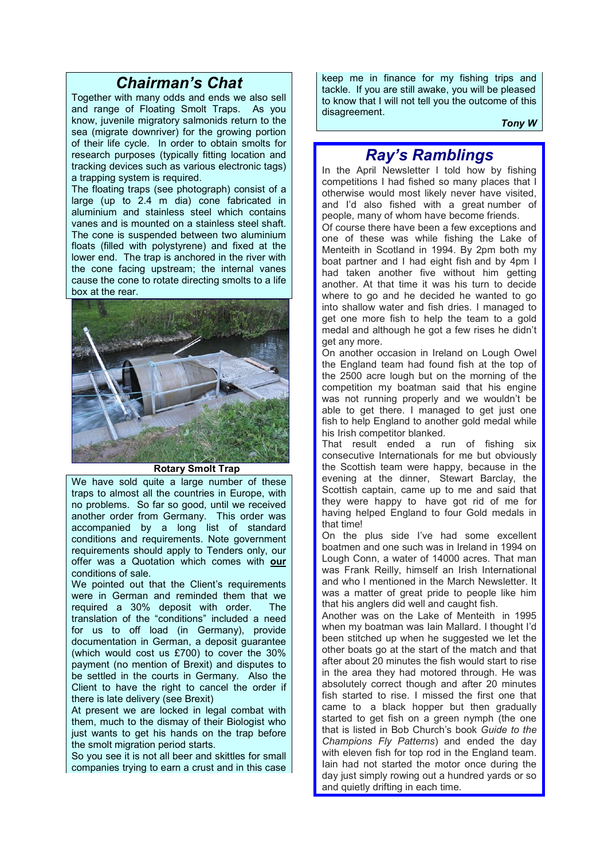# *Chairman's Chat*

Together with many odds and ends we also sell and range of Floating Smolt Traps. As you know, juvenile migratory salmonids return to the sea (migrate downriver) for the growing portion of their life cycle. In order to obtain smolts for research purposes (typically fitting location and tracking devices such as various electronic tags) a trapping system is required.

The floating traps (see photograph) consist of a large (up to 2.4 m dia) cone fabricated in aluminium and stainless steel which contains vanes and is mounted on a stainless steel shaft. The cone is suspended between two aluminium floats (filled with polystyrene) and fixed at the lower end. The trap is anchored in the river with the cone facing upstream; the internal vanes cause the cone to rotate directing smolts to a life box at the rear.



#### **Rotary Smolt Trap**

We have sold quite a large number of these traps to almost all the countries in Europe, with no problems. So far so good, until we received another order from Germany. This order was accompanied by a long list of standard conditions and requirements. Note government requirements should apply to Tenders only, our offer was a Quotation which comes with **our** conditions of sale.

We pointed out that the Client's requirements were in German and reminded them that we required a 30% deposit with order. The translation of the "conditions" included a need for us to off load (in Germany), provide documentation in German, a deposit guarantee (which would cost us £700) to cover the 30% payment (no mention of Brexit) and disputes to be settled in the courts in Germany. Also the Client to have the right to cancel the order if there is late delivery (see Brexit)

At present we are locked in legal combat with them, much to the dismay of their Biologist who just wants to get his hands on the trap before the smolt migration period starts.

So you see it is not all beer and skittles for small companies trying to earn a crust and in this case

keep me in finance for my fishing trips and tackle. If you are still awake, you will be pleased to know that I will not tell you the outcome of this disagreement.

*Tony W*

# *Ray's Ramblings*

In the April Newsletter I told how by fishing competitions I had fished so many places that I otherwise would most likely never have visited, and I'd also fished with a great number of people, many of whom have become friends.

Of course there have been a few exceptions and one of these was while fishing the Lake of Menteith in Scotland in 1994. By 2pm both my boat partner and I had eight fish and by 4pm I had taken another five without him getting another. At that time it was his turn to decide where to go and he decided he wanted to go into shallow water and fish dries. I managed to get one more fish to help the team to a gold medal and although he got a few rises he didn't get any more.

On another occasion in Ireland on Lough Owel the England team had found fish at the top of the 2500 acre lough but on the morning of the competition my boatman said that his engine was not running properly and we wouldn't be able to get there. I managed to get just one fish to help England to another gold medal while his Irish competitor blanked.

That result ended a run of fishing six consecutive Internationals for me but obviously the Scottish team were happy, because in the evening at the dinner, Stewart Barclay, the Scottish captain, came up to me and said that they were happy to have got rid of me for having helped England to four Gold medals in that time!

On the plus side I've had some excellent boatmen and one such was in Ireland in 1994 on Lough Conn, a water of 14000 acres. That man was Frank Reilly, himself an Irish International and who I mentioned in the March Newsletter. It was a matter of great pride to people like him that his anglers did well and caught fish.

Another was on the Lake of Menteith in 1995 when my boatman was Iain Mallard. I thought I'd been stitched up when he suggested we let the other boats go at the start of the match and that after about 20 minutes the fish would start to rise in the area they had motored through. He was absolutely correct though and after 20 minutes fish started to rise. I missed the first one that came to a black hopper but then gradually started to get fish on a green nymph (the one that is listed in Bob Church's book *Guide to the Champions Fly Patterns*) and ended the day with eleven fish for top rod in the England team. Iain had not started the motor once during the day just simply rowing out a hundred yards or so and quietly drifting in each time.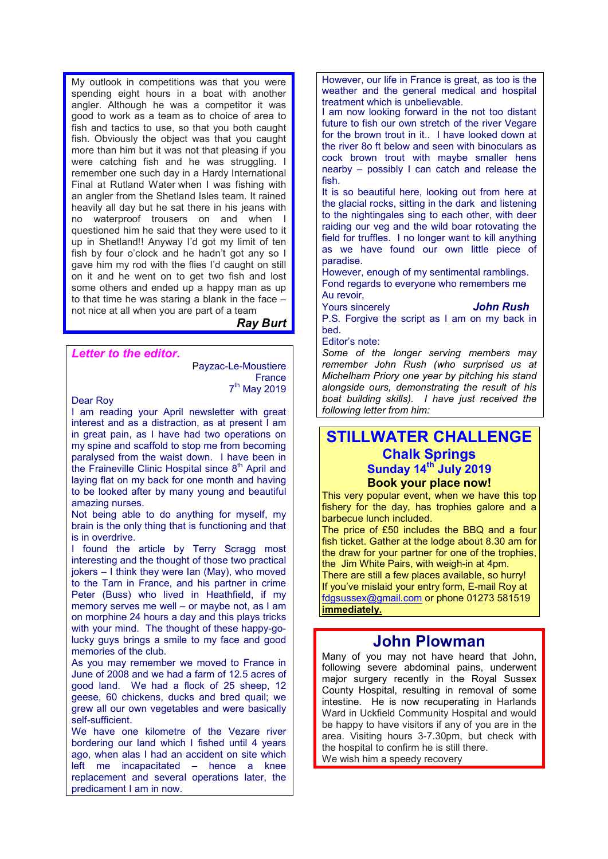My outlook in competitions was that you were spending eight hours in a boat with another angler. Although he was a competitor it was good to work as a team as to choice of area to fish and tactics to use, so that you both caught fish. Obviously the object was that you caught more than him but it was not that pleasing if you were catching fish and he was struggling. I remember one such day in a Hardy International Final at Rutland Water when I was fishing with an angler from the Shetland Isles team. It rained heavily all day but he sat there in his jeans with no waterproof trousers on and when I questioned him he said that they were used to it up in Shetland!! Anyway I'd got my limit of ten fish by four o'clock and he hadn't got any so I gave him my rod with the flies I'd caught on still on it and he went on to get two fish and lost some others and ended up a happy man as up to that time he was staring a blank in the face – not nice at all when you are part of a team

*Ray Burt*

#### *Letter to the editor.*

Payzac-Le-Moustiere **France** 7<sup>th</sup> May 2019

Dear Roy

I am reading your April newsletter with great interest and as a distraction, as at present I am in great pain, as I have had two operations on my spine and scaffold to stop me from becoming paralysed from the waist down. I have been in the Fraineville Clinic Hospital since  $8<sup>th</sup>$  April and laying flat on my back for one month and having to be looked after by many young and beautiful amazing nurses.

Not being able to do anything for myself, my brain is the only thing that is functioning and that is in overdrive.

I found the article by Terry Scragg most interesting and the thought of those two practical jokers – I think they were Ian (May), who moved to the Tarn in France, and his partner in crime Peter (Buss) who lived in Heathfield, if my memory serves me well – or maybe not, as I am on morphine 24 hours a day and this plays tricks with your mind. The thought of these happy-golucky guys brings a smile to my face and good memories of the club.

As you may remember we moved to France in June of 2008 and we had a farm of 12.5 acres of good land. We had a flock of 25 sheep, 12 geese, 60 chickens, ducks and bred quail; we grew all our own vegetables and were basically self-sufficient.

We have one kilometre of the Vezare river bordering our land which I fished until 4 years ago, when alas I had an accident on site which left me incapacitated – hence a knee replacement and several operations later, the predicament I am in now.

However, our life in France is great, as too is the weather and the general medical and hospital treatment which is unbelievable.

I am now looking forward in the not too distant future to fish our own stretch of the river Vegare for the brown trout in it.. I have looked down at the river 8o ft below and seen with binoculars as cock brown trout with maybe smaller hens nearby – possibly I can catch and release the fish.

It is so beautiful here, looking out from here at the glacial rocks, sitting in the dark and listening to the nightingales sing to each other, with deer raiding our veg and the wild boar rotovating the field for truffles. I no longer want to kill anything as we have found our own little piece of paradise.

However, enough of my sentimental ramblings. Fond regards to everyone who remembers me Au revoir,

Yours sincerely *John Rush* P.S. Forgive the script as I am on my back in bed.

#### Editor's note:

*Some of the longer serving members may remember John Rush (who surprised us at Michelham Priory one year by pitching his stand alongside ours, demonstrating the result of his boat building skills). I have just received the following letter from him:*

### **STILLWATER CHALLENGE Chalk Springs Sunday 14th July 2019 Book your place now!**

This very popular event, when we have this top fishery for the day, has trophies galore and a barbecue lunch included.

The price of £50 includes the BBQ and a four fish ticket. Gather at the lodge about 8.30 am for the draw for your partner for one of the trophies, the Jim White Pairs, with weigh-in at 4pm.

There are still a few places available, so hurry! If you've mislaid your entry form, E-mail Roy at fdgsussex@gmail.com or phone 01273 581519 **immediately.**

### **John Plowman**

Many of you may not have heard that John, following severe abdominal pains, underwent major surgery recently in the Royal Sussex County Hospital, resulting in removal of some intestine. He is now recuperating in Harlands Ward in Uckfield Community Hospital and would be happy to have visitors if any of you are in the area. Visiting hours 3-7.30pm, but check with the hospital to confirm he is still there. We wish him a speedy recovery